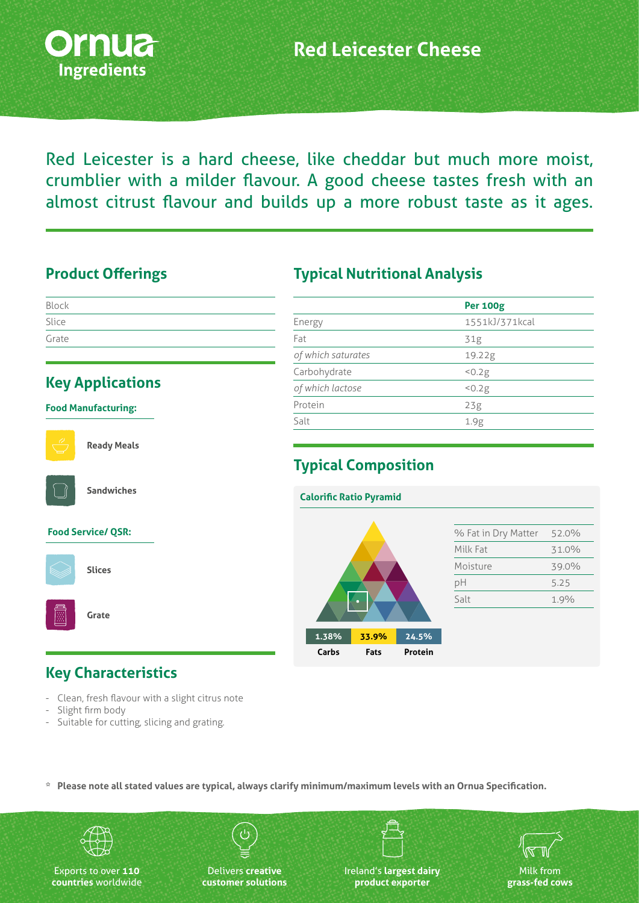

Red Leicester is a hard cheese, like cheddar but much more moist, crumblier with a milder flavour. A good cheese tastes fresh with an almost citrust flavour and builds up a more robust taste as it ages.

#### **Product Offerings**

| Block |  |  |  |
|-------|--|--|--|
| Slice |  |  |  |
| Grate |  |  |  |

#### **Key Applications**

#### **Food Manufacturing:**



**Ready Meals**



**Sandwiches**

#### **Food Service/ QSR:**



**Slices**

**Grate**

#### **Key Characteristics**

- Clean, fresh flavour with a slight citrus note
- Slight firm body
- Suitable for cutting, slicing and grating.

#### **Typical Nutritional Analysis**

|                    | <b>Per 100g</b> |
|--------------------|-----------------|
| Energy             | 1551kJ/371kcal  |
| Fat                | 31g             |
| of which saturates | 19.22g          |
| Carbohydrate       | < 0.2g          |
| of which lactose   | 50.2g           |
| Protein            | 23g             |
| Salt               | 1.9g            |
|                    |                 |

# **Typical Composition**



**\* Please note all stated values are typical, always clarify minimum/maximum levels with an Ornua Specification.**



Exports to over **110 countries** worldwide

Delivers **creative customer solutions** Ireland's **largest dairy product exporter**